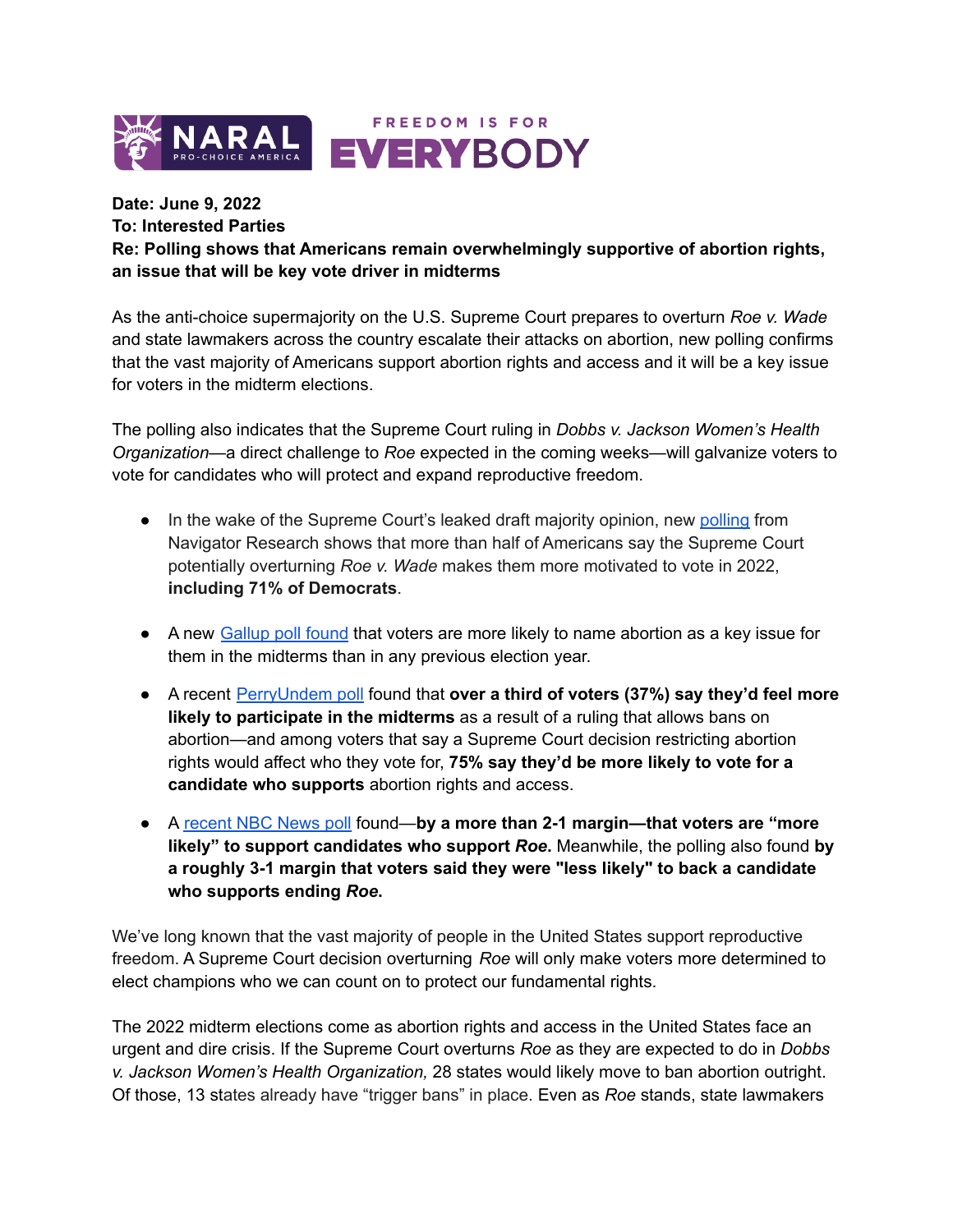

## **Date: June 9, 2022**

## **To: Interested Parties**

**Re: Polling shows that Americans remain overwhelmingly supportive of abortion rights, an issue that will be key vote driver in midterms**

As the anti-choice supermajority on the U.S. Supreme Court prepares to overturn *Roe v. Wade* and state lawmakers across the country escalate their attacks on abortion, new polling confirms that the vast majority of Americans support abortion rights and access and it will be a key issue for voters in the midterm elections.

The polling also indicates that the Supreme Court ruling in *Dobbs v. Jackson Women's Health Organization*—a direct challenge to *Roe* expected in the coming weeks—will galvanize voters to vote for candidates who will protect and expand reproductive freedom.

- In the wake of the Supreme Court's leaked draft majority opinion, new [polling](https://navigatorresearch.org/americans-increasingly-favor-abortion-rights-following-leaked-draft-decision/) from Navigator Research shows that more than half of Americans say the Supreme Court potentially overturning *Roe v. Wade* makes them more motivated to vote in 2022, **including 71% of Democrats**.
- A new [Gallup](https://www.usnews.com/news/national-news/articles/2022-06-06/more-than-half-of-voters-term-abortion-important-surpassing-past-elections-poll-says) poll found that voters are more likely to name abortion as a key issue for them in the midterms than in any previous election year.
- A recent [PerryUndem](https://perryundem.com/wp-content/uploads/2022/02/PerryUndem-Abortion-Public-Opinion-Survey-2022.pdf) poll found that **over a third of voters (37%) say they'd feel more likely to participate in the midterms** as a result of a ruling that allows bans on abortion—and among voters that say a Supreme Court decision restricting abortion rights would affect who they vote for, **75% say they'd be more likely to vote for a candidate who supports** abortion rights and access.
- A [recent](https://www.nbcnews.com/meet-the-press/upcoming-abortion-decision-supreme-court-could-rattle-midterm-campaigns-n1293949) NBC News poll found—**by a more than 2-1 margin—that voters are "more likely" to support candidates who support** *Roe***.** Meanwhile, the polling also found **by a roughly 3-1 margin that voters said they were "less likely" to back a candidate who supports ending** *Roe***.**

We've long known that the vast majority of people in the United States support reproductive freedom. A Supreme Court decision overturning *Roe* will only make voters more determined to elect champions who we can count on to protect our fundamental rights.

The 2022 midterm elections come as abortion rights and access in the United States face an urgent and dire crisis. If the Supreme Court overturns *Roe* as they are expected to do in *Dobbs v. Jackson Women's Health Organization,* 28 states would likely move to ban abortion outright. Of those, 13 states already have "trigger bans" in place. Even as *Roe* stands, state lawmakers